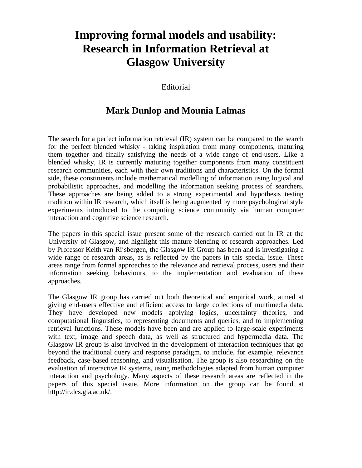# **Improving formal models and usability: Research in Information Retrieval at Glasgow University**

#### Editorial

#### **Mark Dunlop and Mounia Lalmas**

The search for a perfect information retrieval (IR) system can be compared to the search for the perfect blended whisky - taking inspiration from many components, maturing them together and finally satisfying the needs of a wide range of end-users. Like a blended whisky, IR is currently maturing together components from many constituent research communities, each with their own traditions and characteristics. On the formal side, these constituents include mathematical modelling of information using logical and probabilistic approaches, and modelling the information seeking process of searchers. These approaches are being added to a strong experimental and hypothesis testing tradition within IR research, which itself is being augmented by more psychological style experiments introduced to the computing science community via human computer interaction and cognitive science research.

The papers in this special issue present some of the research carried out in IR at the University of Glasgow, and highlight this mature blending of research approaches. Led by Professor Keith van Rijsbergen, the Glasgow IR Group has been and is investigating a wide range of research areas, as is reflected by the papers in this special issue. These areas range from formal approaches to the relevance and retrieval process, users and their information seeking behaviours, to the implementation and evaluation of these approaches.

The Glasgow IR group has carried out both theoretical and empirical work, aimed at giving end-users effective and efficient access to large collections of multimedia data. They have developed new models applying logics, uncertainty theories, and computational linguistics, to representing documents and queries, and to implementing retrieval functions. These models have been and are applied to large-scale experiments with text, image and speech data, as well as structured and hypermedia data. The Glasgow IR group is also involved in the development of interaction techniques that go beyond the traditional query and response paradigm, to include, for example, relevance feedback, case-based reasoning, and visualisation. The group is also researching on the evaluation of interactive IR systems, using methodologies adapted from human computer interaction and psychology. Many aspects of these research areas are reflected in the papers of this special issue. More information on the group can be found at http://ir.dcs.gla.ac.uk/.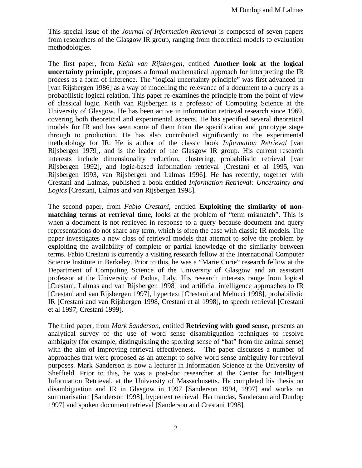This special issue of the *Journal of Information Retrieval* is composed of seven papers from researchers of the Glasgow IR group, ranging from theoretical models to evaluation methodologies.

The first paper, from *Keith van Rijsbergen*, entitled **Another look at the logical uncertainty principle**, proposes a formal mathematical approach for interpreting the IR process as a form of inference. The "logical uncertainty principle" was first advanced in [van Rijsbergen 1986] as a way of modelling the relevance of a document to a query as a probabilistic logical relation. This paper re-examines the principle from the point of view of classical logic. Keith van Rijsbergen is a professor of Computing Science at the University of Glasgow. He has been active in information retrieval research since 1969, covering both theoretical and experimental aspects. He has specified several theoretical models for IR and has seen some of them from the specification and prototype stage through to production. He has also contributed significantly to the experimental methodology for IR. He is author of the classic book *Information Retrieval* [van Rijsbergen 1979], and is the leader of the Glasgow IR group. His current research interests include dimensionality reduction, clustering, probabilistic retrieval [van Rijsbergen 1992], and logic-based information retrieval [Crestani et al 1995, van Rijsbergen 1993, van Rijsbergen and Lalmas 1996]. He has recently, together with Crestani and Lalmas, published a book entitled *Information Retrieval: Uncertainty and Logics* [Crestani, Lalmas and van Rijsbergen 1998].

The second paper, from *Fabio Crestani*, entitled **Exploiting the similarity of nonmatching terms at retrieval time**, looks at the problem of "term mismatch". This is when a document is not retrieved in response to a query because document and query representations do not share any term, which is often the case with classic IR models. The paper investigates a new class of retrieval models that attempt to solve the problem by exploiting the availability of complete or partial knowledge of the similarity between terms. Fabio Crestani is currently a visiting research fellow at the International Computer Science Institute in Berkeley. Prior to this, he was a "Marie Curie" research fellow at the Department of Computing Science of the University of Glasgow and an assistant professor at the University of Padua, Italy. His research interests range from logical [Crestani, Lalmas and van Rijsbergen 1998] and artificial intelligence approaches to IR [Crestani and van Rijsbergen 1997], hypertext [Crestani and Melucci 1998], probabilistic IR [Crestani and van Rijsbergen 1998, Crestani et al 1998], to speech retrieval [Crestani et al 1997, Crestani 1999].

The third paper, from *Mark Sanderson*, entitled **Retrieving with good sense**, presents an analytical survey of the use of word sense disambiguation techniques to resolve ambiguity (for example, distinguishing the sporting sense of "bat" from the animal sense) with the aim of improving retrieval effectiveness. The paper discusses a number of approaches that were proposed as an attempt to solve word sense ambiguity for retrieval purposes. Mark Sanderson is now a lecturer in Information Science at the University of Sheffield. Prior to this, he was a post-doc researcher at the Center for Intelligent Information Retrieval, at the University of Massachusetts. He completed his thesis on disambiguation and IR in Glasgow in 1997 [Sanderson 1994, 1997] and works on summarisation [Sanderson 1998], hypertext retrieval [Harmandas, Sanderson and Dunlop 1997] and spoken document retrieval [Sanderson and Crestani 1998].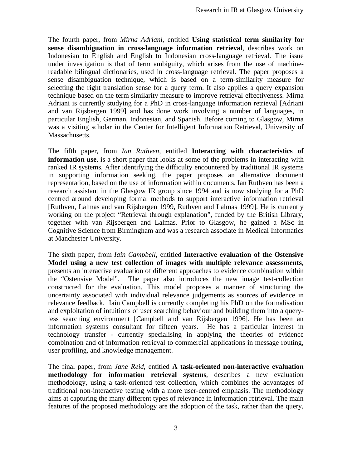The fourth paper, from *Mirna Adriani*, entitled **Using statistical term similarity for sense disambiguation in cross-language information retrieval**, describes work on Indonesian to English and English to Indonesian cross-language retrieval. The issue under investigation is that of term ambiguity, which arises from the use of machinereadable bilingual dictionaries, used in cross-language retrieval. The paper proposes a sense disambiguation technique, which is based on a term-similarity measure for selecting the right translation sense for a query term. It also applies a query expansion technique based on the term similarity measure to improve retrieval effectiveness. Mirna Adriani is currently studying for a PhD in cross-language information retrieval [Adriani and van Rijsbergen 1999] and has done work involving a number of languages, in particular English, German, Indonesian, and Spanish. Before coming to Glasgow, Mirna was a visiting scholar in the Center for Intelligent Information Retrieval, University of Massachusetts.

The fifth paper, from *Ian Ruthven*, entitled **Interacting with characteristics of information use**, is a short paper that looks at some of the problems in interacting with ranked IR systems. After identifying the difficulty encountered by traditional IR systems in supporting information seeking, the paper proposes an alternative document representation, based on the use of information within documents. Ian Ruthven has been a research assistant in the Glasgow IR group since 1994 and is now studying for a PhD centred around developing formal methods to support interactive information retrieval [Ruthven, Lalmas and van Rijsbergen 1999, Ruthven and Lalmas 1999]. He is currently working on the project "Retrieval through explanation", funded by the British Library, together with van Rijsbergen and Lalmas. Prior to Glasgow, he gained a MSc in Cognitive Science from Birmingham and was a research associate in Medical Informatics at Manchester University.

The sixth paper, from *Iain Campbell*, entitled **Interactive evaluation of the Ostensive Model using a new test collection of images with multiple relevance assessments**, presents an interactive evaluation of different approaches to evidence combination within the "Ostensive Model". The paper also introduces the new image test-collection constructed for the evaluation. This model proposes a manner of structuring the uncertainty associated with individual relevance judgements as sources of evidence in relevance feedback. Iain Campbell is currently completing his PhD on the formalisation and exploitation of intuitions of user searching behaviour and building them into a queryless searching environment [Campbell and van Rijsbergen 1996]. He has been an information systems consultant for fifteen years. He has a particular interest in technology transfer - currently specialising in applying the theories of evidence combination and of information retrieval to commercial applications in message routing, user profiling, and knowledge management.

The final paper, from *Jane Reid*, entitled **A task-oriented non-interactive evaluation methodology for information retrieval systems**, describes a new evaluation methodology, using a task-oriented test collection, which combines the advantages of traditional non-interactive testing with a more user-centred emphasis. The methodology aims at capturing the many different types of relevance in information retrieval. The main features of the proposed methodology are the adoption of the task, rather than the query,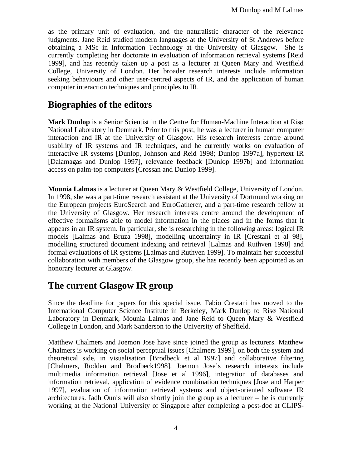as the primary unit of evaluation, and the naturalistic character of the relevance judgments. Jane Reid studied modern languages at the University of St Andrews before obtaining a MSc in Information Technology at the University of Glasgow. She is currently completing her doctorate in evaluation of information retrieval systems [Reid 1999], and has recently taken up a post as a lecturer at Queen Mary and Westfield College, University of London. Her broader research interests include information seeking behaviours and other user-centred aspects of IR, and the application of human computer interaction techniques and principles to IR.

#### **Biographies of the editors**

**Mark Dunlop** is a Senior Scientist in the Centre for Human-Machine Interaction at Risø National Laboratory in Denmark. Prior to this post, he was a lecturer in human computer interaction and IR at the University of Glasgow. His research interests centre around usability of IR systems and IR techniques, and he currently works on evaluation of interactive IR systems [Dunlop, Johnson and Reid 1998; Dunlop 1997a], hypertext IR [Dalamagas and Dunlop 1997], relevance feedback [Dunlop 1997b] and information access on palm-top computers [Crossan and Dunlop 1999].

**Mounia Lalmas** is a lecturer at Queen Mary & Westfield College, University of London. In 1998, she was a part-time research assistant at the University of Dortmund working on the European projects EuroSearch and EuroGatherer, and a part-time research fellow at the University of Glasgow. Her research interests centre around the development of effective formalisms able to model information in the places and in the forms that it appears in an IR system. In particular, she is researching in the following areas: logical IR models [Lalmas and Bruza 1998], modelling uncertainty in IR [Crestani et al 98], modelling structured document indexing and retrieval [Lalmas and Ruthven 1998] and formal evaluations of IR systems [Lalmas and Ruthven 1999]. To maintain her successful collaboration with members of the Glasgow group, she has recently been appointed as an honorary lecturer at Glasgow.

#### **The current Glasgow IR group**

Since the deadline for papers for this special issue, Fabio Crestani has moved to the International Computer Science Institute in Berkeley, Mark Dunlop to Risø National Laboratory in Denmark, Mounia Lalmas and Jane Reid to Queen Mary & Westfield College in London, and Mark Sanderson to the University of Sheffield.

Matthew Chalmers and Joemon Jose have since joined the group as lecturers. Matthew Chalmers is working on social perceptual issues [Chalmers 1999], on both the system and theoretical side, in visualisation [Brodbeck et al 1997] and collaborative filtering [Chalmers, Rodden and Brodbeck1998]. Joemon Jose's research interests include multimedia information retrieval [Jose et al 1996], integration of databases and information retrieval, application of evidence combination techniques [Jose and Harper 1997], evaluation of information retrieval systems and object-oriented software IR architectures. Iadh Ounis will also shortly join the group as a lecturer – he is currently working at the National University of Singapore after completing a post-doc at CLIPS-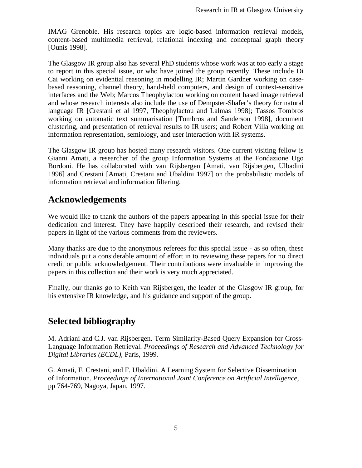IMAG Grenoble. His research topics are logic-based information retrieval models, content-based multimedia retrieval, relational indexing and conceptual graph theory [Ounis 1998].

The Glasgow IR group also has several PhD students whose work was at too early a stage to report in this special issue, or who have joined the group recently. These include Di Cai working on evidential reasoning in modelling IR; Martin Gardner working on casebased reasoning, channel theory, hand-held computers, and design of context-sensitive interfaces and the Web; Marcos Theophylactou working on content based image retrieval and whose research interests also include the use of Dempster-Shafer's theory for natural language IR [Crestani et al 1997, Theophylactou and Lalmas 1998]; Tassos Tombros working on automatic text summarisation [Tombros and Sanderson 1998], document clustering, and presentation of retrieval results to IR users; and Robert Villa working on information representation, semiology, and user interaction with IR systems.

The Glasgow IR group has hosted many research visitors. One current visiting fellow is Gianni Amati, a researcher of the group Information Systems at the Fondazione Ugo Bordoni. He has collaborated with van Rijsbergen [Amati, van Rijsbergen, Ulbadini 1996] and Crestani [Amati, Crestani and Ubaldini 1997] on the probabilistic models of information retrieval and information filtering.

## **Acknowledgements**

We would like to thank the authors of the papers appearing in this special issue for their dedication and interest. They have happily described their research, and revised their papers in light of the various comments from the reviewers.

Many thanks are due to the anonymous referees for this special issue - as so often, these individuals put a considerable amount of effort in to reviewing these papers for no direct credit or public acknowledgement. Their contributions were invaluable in improving the papers in this collection and their work is very much appreciated.

Finally, our thanks go to Keith van Rijsbergen, the leader of the Glasgow IR group, for his extensive IR knowledge, and his guidance and support of the group.

## **Selected bibliography**

M. Adriani and C.J. van Rijsbergen. Term Similarity-Based Query Expansion for Cross-Language Information Retrieval. *Proceedings of Research and Advanced Technology for Digital Libraries (ECDL)*, Paris, 1999.

G. Amati, F. Crestani, and F. Ubaldini. A Learning System for Selective Dissemination of Information. *Proceedings of International Joint Conference on Artificial Intelligence*, pp 764-769, Nagoya, Japan, 1997.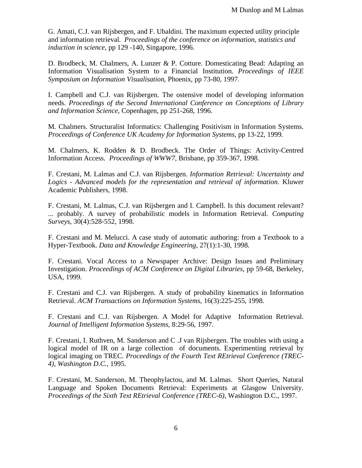G. Amati, C.J. van Rijsbergen, and F. Ubaldini. The maximum expected utility principle and information retrieval. *Proceedings of the conference on information, statistics and induction in science*, pp 129 -140, Singapore, 1996.

D. Brodbeck, M. Chalmers, A. Lunzer & P. Cotture. Domesticating Bead: Adapting an Information Visualisation System to a Financial Institution. *Proceedings of IEEE Symposium on Information Visualisation,* Phoenix, pp 73-80, 1997.

I. Campbell and C.J. van Rijsbergen. The ostensive model of developing information needs. *Proceedings of the Second International Conference on Conceptions of Library and Information Science*, Copenhagen, pp 251-268, 1996.

M. Chalmers. Structuralist Informatics: Challenging Positivism in Information Systems. *Proceedings of Conference UK Academy for Information Systems,* pp 13-22, 1999.

M. Chalmers, K. Rodden & D. Brodbeck. The Order of Things: Activity-Centred Information Access. *Proceedings of WWW7,* Brisbane, pp 359-367, 1998.

F. Crestani, M. Lalmas and C.J. van Rijsbergen. *Information Retrieval: Uncertainty and Logics - Advanced models for the representation and retrieval of information*. Kluwer Academic Publishers, 1998.

F. Crestani, M. Lalmas, C.J. van Rijsbergen and I. Campbell. Is this document relevant? ... probably. A survey of probabilistic models in Information Retrieval. *Computing Surveys*, 30(4):528-552, 1998.

F. Crestani and M. Melucci. A case study of automatic authoring: from a Textbook to a Hyper-Textbook. *Data and Knowledge Engineering*, 27(1):1-30, 1998.

F. Crestani. Vocal Access to a Newspaper Archive: Design Issues and Preliminary Investigation. *Proceedings of ACM Conference on Digital Libraries*, pp 59-68, Berkeley, USA, 1999.

F. Crestani and C.J. van Rijsbergen. A study of probability kinematics in Information Retrieval. *ACM Transactions on Information Systems*, 16(3):225-255, 1998.

F. Crestani and C.J. van Rijsbergen. A Model for Adaptive Information Retrieval. *Journal of Intelligent Information Systems*, 8:29-56, 1997.

F. Crestani, I. Ruthven, M. Sanderson and C .J van Rijsbergen. The troubles with using a logical model of IR on a large collection of documents. Experimenting retrieval by logical imaging on TREC. *Proceedings of the Fourth Text REtrieval Conference (TREC-4), Washington D.C.*, 1995.

F. Crestani, M. Sanderson, M. Theophylactou, and M. Lalmas. Short Queries, Natural Language and Spoken Documents Retrieval: Experiments at Glasgow University. *Proceedings of the Sixth Text REtrieval Conference (TREC-6)*, Washington D.C., 1997.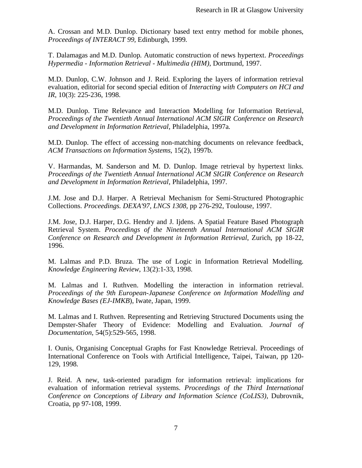A. Crossan and M.D. Dunlop. Dictionary based text entry method for mobile phones, *Proceedings of INTERACT 99,* Edinburgh, 1999.

T. Dalamagas and M.D. Dunlop. Automatic construction of news hypertext. *Proceedings Hypermedia - Information Retrieval - Multimedia (HIM)*, Dortmund, 1997.

M.D. Dunlop, C.W. Johnson and J. Reid. Exploring the layers of information retrieval evaluation, editorial for second special edition of *Interacting with Computers on HCI and IR*, 10(3): 225-236, 1998.

M.D. Dunlop. Time Relevance and Interaction Modelling for Information Retrieval, *Proceedings of the Twentieth Annual International ACM SIGIR Conference on Research and Development in Information Retrieval*, Philadelphia, 1997a.

M.D. Dunlop. The effect of accessing non-matching documents on relevance feedback, *ACM Transactions on Information Systems*, 15(2), 1997b.

V. Harmandas, M. Sanderson and M. D. Dunlop. Image retrieval by hypertext links. *Proceedings of the Twentieth Annual International ACM SIGIR Conference on Research and Development in Information Retrieval*, Philadelphia, 1997.

J.M. Jose and D.J. Harper. A Retrieval Mechanism for Semi-Structured Photographic Collections. *Proceedings. DEXA'97, LNCS 1308,* pp 276-292, Toulouse, 1997.

J.M. Jose, D.J. Harper, D.G. Hendry and J. Ijdens. A Spatial Feature Based Photograph Retrieval System. *Proceedings of the Nineteenth Annual International ACM SIGIR Conference on Research and Development in Information Retrieval*, Zurich, pp 18-22, 1996.

M. Lalmas and P.D. Bruza. The use of Logic in Information Retrieval Modelling. *Knowledge Engineering Review*, 13(2):1-33, 1998.

M. Lalmas and I. Ruthven. Modelling the interaction in information retrieval. *Proceedings of the 9th European-Japanese Conference on Information Modelling and Knowledge Bases (EJ-IMKB*), Iwate, Japan, 1999.

M. Lalmas and I. Ruthven. Representing and Retrieving Structured Documents using the Dempster-Shafer Theory of Evidence: Modelling and Evaluation. *Journal of Documentation*, 54(5):529-565, 1998.

I. Ounis, Organising Conceptual Graphs for Fast Knowledge Retrieval. Proceedings of International Conference on Tools with Artificial Intelligence, Taipei, Taiwan, pp 120- 129, 1998.

J. Reid. A new, task-oriented paradigm for information retrieval: implications for evaluation of information retrieval systems. *Proceedings of the Third International Conference on Conceptions of Library and Information Science (CoLIS3)*, Dubrovnik, Croatia, pp 97-108, 1999.